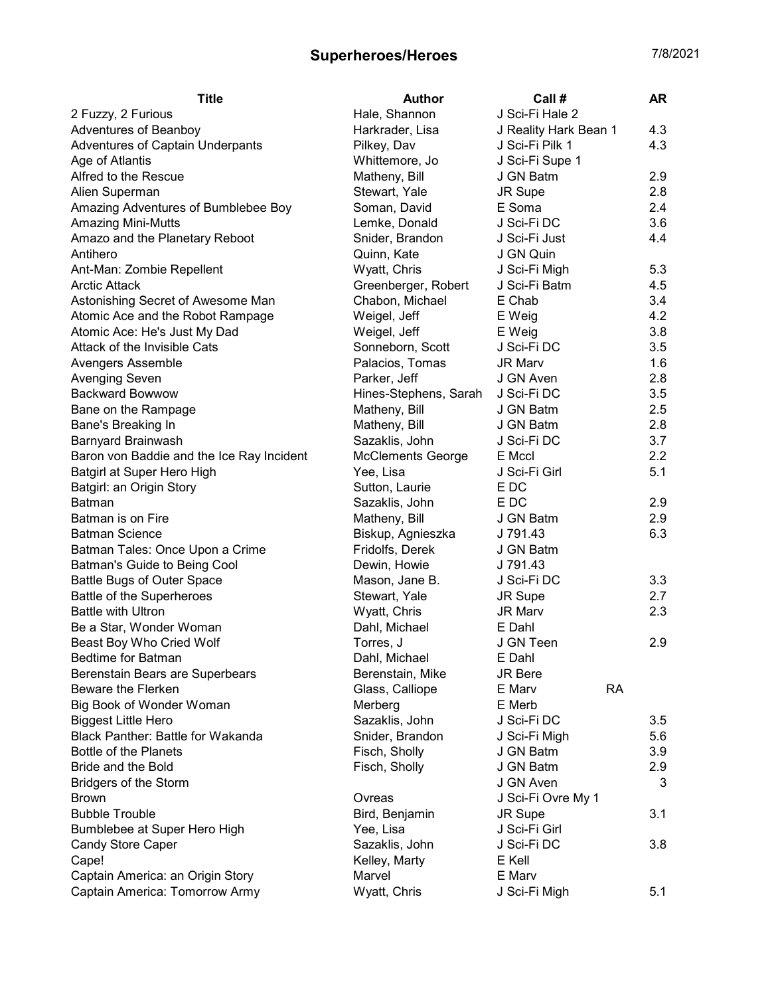| J Sci-Fi Hale 2<br>Hale, Shannon<br>2 Fuzzy, 2 Furious<br>J Reality Hark Bean 1<br>4.3<br>Adventures of Beanboy<br>Harkrader, Lisa<br>Adventures of Captain Underpants<br>J Sci-Fi Pilk 1<br>4.3<br>Pilkey, Dav<br>Whittemore, Jo<br>J Sci-Fi Supe 1<br>Age of Atlantis<br>Alfred to the Rescue<br>J GN Batm<br>2.9<br>Matheny, Bill<br>Alien Superman<br>Stewart, Yale<br>JR Supe<br>2.8<br>E Soma<br>Amazing Adventures of Bumblebee Boy<br>2.4<br>Soman, David<br><b>Amazing Mini-Mutts</b><br>J Sci-Fi DC<br>3.6<br>Lemke, Donald<br>4.4<br>Amazo and the Planetary Reboot<br>Snider, Brandon<br>J Sci-Fi Just<br>Antihero<br>Quinn, Kate<br>J GN Quin<br>Ant-Man: Zombie Repellent<br>5.3<br>Wyatt, Chris<br>J Sci-Fi Migh<br>Greenberger, Robert<br>J Sci-Fi Batm<br>4.5<br><b>Arctic Attack</b><br>Chabon, Michael<br>E Chab<br>3.4<br>Astonishing Secret of Awesome Man<br>E Weig<br>4.2<br>Atomic Ace and the Robot Rampage<br>Weigel, Jeff<br>E Weig<br>3.8<br>Atomic Ace: He's Just My Dad<br>Weigel, Jeff<br>Attack of the Invisible Cats<br>Sonneborn, Scott<br>J Sci-Fi DC<br>3.5<br>Palacios, Tomas<br>1.6<br>Avengers Assemble<br><b>JR Marv</b><br>Parker, Jeff<br><b>Avenging Seven</b><br>J GN Aven<br>2.8<br><b>Backward Bowwow</b><br>Hines-Stephens, Sarah<br>J Sci-Fi DC<br>3.5<br>Matheny, Bill<br>2.5<br>Bane on the Rampage<br>J GN Batm<br>Matheny, Bill<br>J GN Batm<br>2.8<br>Bane's Breaking In<br>3.7<br>Sazaklis, John<br>Barnyard Brainwash<br>J Sci-Fi DC<br>2.2<br>Baron von Baddie and the Ice Ray Incident<br><b>McClements George</b><br>E Mccl<br>5.1<br>Batgirl at Super Hero High<br>Yee, Lisa<br>J Sci-Fi Girl<br>Batgirl: an Origin Story<br>Sutton, Laurie<br>E DC<br>E DC<br>2.9<br><b>Batman</b><br>Sazaklis, John |
|------------------------------------------------------------------------------------------------------------------------------------------------------------------------------------------------------------------------------------------------------------------------------------------------------------------------------------------------------------------------------------------------------------------------------------------------------------------------------------------------------------------------------------------------------------------------------------------------------------------------------------------------------------------------------------------------------------------------------------------------------------------------------------------------------------------------------------------------------------------------------------------------------------------------------------------------------------------------------------------------------------------------------------------------------------------------------------------------------------------------------------------------------------------------------------------------------------------------------------------------------------------------------------------------------------------------------------------------------------------------------------------------------------------------------------------------------------------------------------------------------------------------------------------------------------------------------------------------------------------------------------------------------------------------------------------------------------------------------------------------------------------|
|                                                                                                                                                                                                                                                                                                                                                                                                                                                                                                                                                                                                                                                                                                                                                                                                                                                                                                                                                                                                                                                                                                                                                                                                                                                                                                                                                                                                                                                                                                                                                                                                                                                                                                                                                                  |
|                                                                                                                                                                                                                                                                                                                                                                                                                                                                                                                                                                                                                                                                                                                                                                                                                                                                                                                                                                                                                                                                                                                                                                                                                                                                                                                                                                                                                                                                                                                                                                                                                                                                                                                                                                  |
|                                                                                                                                                                                                                                                                                                                                                                                                                                                                                                                                                                                                                                                                                                                                                                                                                                                                                                                                                                                                                                                                                                                                                                                                                                                                                                                                                                                                                                                                                                                                                                                                                                                                                                                                                                  |
|                                                                                                                                                                                                                                                                                                                                                                                                                                                                                                                                                                                                                                                                                                                                                                                                                                                                                                                                                                                                                                                                                                                                                                                                                                                                                                                                                                                                                                                                                                                                                                                                                                                                                                                                                                  |
|                                                                                                                                                                                                                                                                                                                                                                                                                                                                                                                                                                                                                                                                                                                                                                                                                                                                                                                                                                                                                                                                                                                                                                                                                                                                                                                                                                                                                                                                                                                                                                                                                                                                                                                                                                  |
|                                                                                                                                                                                                                                                                                                                                                                                                                                                                                                                                                                                                                                                                                                                                                                                                                                                                                                                                                                                                                                                                                                                                                                                                                                                                                                                                                                                                                                                                                                                                                                                                                                                                                                                                                                  |
|                                                                                                                                                                                                                                                                                                                                                                                                                                                                                                                                                                                                                                                                                                                                                                                                                                                                                                                                                                                                                                                                                                                                                                                                                                                                                                                                                                                                                                                                                                                                                                                                                                                                                                                                                                  |
|                                                                                                                                                                                                                                                                                                                                                                                                                                                                                                                                                                                                                                                                                                                                                                                                                                                                                                                                                                                                                                                                                                                                                                                                                                                                                                                                                                                                                                                                                                                                                                                                                                                                                                                                                                  |
|                                                                                                                                                                                                                                                                                                                                                                                                                                                                                                                                                                                                                                                                                                                                                                                                                                                                                                                                                                                                                                                                                                                                                                                                                                                                                                                                                                                                                                                                                                                                                                                                                                                                                                                                                                  |
|                                                                                                                                                                                                                                                                                                                                                                                                                                                                                                                                                                                                                                                                                                                                                                                                                                                                                                                                                                                                                                                                                                                                                                                                                                                                                                                                                                                                                                                                                                                                                                                                                                                                                                                                                                  |
|                                                                                                                                                                                                                                                                                                                                                                                                                                                                                                                                                                                                                                                                                                                                                                                                                                                                                                                                                                                                                                                                                                                                                                                                                                                                                                                                                                                                                                                                                                                                                                                                                                                                                                                                                                  |
|                                                                                                                                                                                                                                                                                                                                                                                                                                                                                                                                                                                                                                                                                                                                                                                                                                                                                                                                                                                                                                                                                                                                                                                                                                                                                                                                                                                                                                                                                                                                                                                                                                                                                                                                                                  |
|                                                                                                                                                                                                                                                                                                                                                                                                                                                                                                                                                                                                                                                                                                                                                                                                                                                                                                                                                                                                                                                                                                                                                                                                                                                                                                                                                                                                                                                                                                                                                                                                                                                                                                                                                                  |
|                                                                                                                                                                                                                                                                                                                                                                                                                                                                                                                                                                                                                                                                                                                                                                                                                                                                                                                                                                                                                                                                                                                                                                                                                                                                                                                                                                                                                                                                                                                                                                                                                                                                                                                                                                  |
|                                                                                                                                                                                                                                                                                                                                                                                                                                                                                                                                                                                                                                                                                                                                                                                                                                                                                                                                                                                                                                                                                                                                                                                                                                                                                                                                                                                                                                                                                                                                                                                                                                                                                                                                                                  |
|                                                                                                                                                                                                                                                                                                                                                                                                                                                                                                                                                                                                                                                                                                                                                                                                                                                                                                                                                                                                                                                                                                                                                                                                                                                                                                                                                                                                                                                                                                                                                                                                                                                                                                                                                                  |
|                                                                                                                                                                                                                                                                                                                                                                                                                                                                                                                                                                                                                                                                                                                                                                                                                                                                                                                                                                                                                                                                                                                                                                                                                                                                                                                                                                                                                                                                                                                                                                                                                                                                                                                                                                  |
|                                                                                                                                                                                                                                                                                                                                                                                                                                                                                                                                                                                                                                                                                                                                                                                                                                                                                                                                                                                                                                                                                                                                                                                                                                                                                                                                                                                                                                                                                                                                                                                                                                                                                                                                                                  |
|                                                                                                                                                                                                                                                                                                                                                                                                                                                                                                                                                                                                                                                                                                                                                                                                                                                                                                                                                                                                                                                                                                                                                                                                                                                                                                                                                                                                                                                                                                                                                                                                                                                                                                                                                                  |
|                                                                                                                                                                                                                                                                                                                                                                                                                                                                                                                                                                                                                                                                                                                                                                                                                                                                                                                                                                                                                                                                                                                                                                                                                                                                                                                                                                                                                                                                                                                                                                                                                                                                                                                                                                  |
|                                                                                                                                                                                                                                                                                                                                                                                                                                                                                                                                                                                                                                                                                                                                                                                                                                                                                                                                                                                                                                                                                                                                                                                                                                                                                                                                                                                                                                                                                                                                                                                                                                                                                                                                                                  |
|                                                                                                                                                                                                                                                                                                                                                                                                                                                                                                                                                                                                                                                                                                                                                                                                                                                                                                                                                                                                                                                                                                                                                                                                                                                                                                                                                                                                                                                                                                                                                                                                                                                                                                                                                                  |
|                                                                                                                                                                                                                                                                                                                                                                                                                                                                                                                                                                                                                                                                                                                                                                                                                                                                                                                                                                                                                                                                                                                                                                                                                                                                                                                                                                                                                                                                                                                                                                                                                                                                                                                                                                  |
|                                                                                                                                                                                                                                                                                                                                                                                                                                                                                                                                                                                                                                                                                                                                                                                                                                                                                                                                                                                                                                                                                                                                                                                                                                                                                                                                                                                                                                                                                                                                                                                                                                                                                                                                                                  |
|                                                                                                                                                                                                                                                                                                                                                                                                                                                                                                                                                                                                                                                                                                                                                                                                                                                                                                                                                                                                                                                                                                                                                                                                                                                                                                                                                                                                                                                                                                                                                                                                                                                                                                                                                                  |
|                                                                                                                                                                                                                                                                                                                                                                                                                                                                                                                                                                                                                                                                                                                                                                                                                                                                                                                                                                                                                                                                                                                                                                                                                                                                                                                                                                                                                                                                                                                                                                                                                                                                                                                                                                  |
| Batman is on Fire<br>2.9<br>Matheny, Bill<br>J GN Batm                                                                                                                                                                                                                                                                                                                                                                                                                                                                                                                                                                                                                                                                                                                                                                                                                                                                                                                                                                                                                                                                                                                                                                                                                                                                                                                                                                                                                                                                                                                                                                                                                                                                                                           |
| <b>Batman Science</b><br>6.3<br>Biskup, Agnieszka<br>J 791.43                                                                                                                                                                                                                                                                                                                                                                                                                                                                                                                                                                                                                                                                                                                                                                                                                                                                                                                                                                                                                                                                                                                                                                                                                                                                                                                                                                                                                                                                                                                                                                                                                                                                                                    |
| Batman Tales: Once Upon a Crime<br>Fridolfs, Derek<br>J GN Batm                                                                                                                                                                                                                                                                                                                                                                                                                                                                                                                                                                                                                                                                                                                                                                                                                                                                                                                                                                                                                                                                                                                                                                                                                                                                                                                                                                                                                                                                                                                                                                                                                                                                                                  |
| Batman's Guide to Being Cool<br>J 791.43<br>Dewin, Howie                                                                                                                                                                                                                                                                                                                                                                                                                                                                                                                                                                                                                                                                                                                                                                                                                                                                                                                                                                                                                                                                                                                                                                                                                                                                                                                                                                                                                                                                                                                                                                                                                                                                                                         |
| 3.3<br><b>Battle Bugs of Outer Space</b><br>Mason, Jane B.<br>J Sci-Fi DC                                                                                                                                                                                                                                                                                                                                                                                                                                                                                                                                                                                                                                                                                                                                                                                                                                                                                                                                                                                                                                                                                                                                                                                                                                                                                                                                                                                                                                                                                                                                                                                                                                                                                        |
| Battle of the Superheroes<br>2.7<br>Stewart, Yale<br>JR Supe                                                                                                                                                                                                                                                                                                                                                                                                                                                                                                                                                                                                                                                                                                                                                                                                                                                                                                                                                                                                                                                                                                                                                                                                                                                                                                                                                                                                                                                                                                                                                                                                                                                                                                     |
| <b>Battle with Ultron</b><br>2.3<br>Wyatt, Chris<br>JR Marv                                                                                                                                                                                                                                                                                                                                                                                                                                                                                                                                                                                                                                                                                                                                                                                                                                                                                                                                                                                                                                                                                                                                                                                                                                                                                                                                                                                                                                                                                                                                                                                                                                                                                                      |
| Dahl, Michael<br>E Dahl<br>Be a Star, Wonder Woman                                                                                                                                                                                                                                                                                                                                                                                                                                                                                                                                                                                                                                                                                                                                                                                                                                                                                                                                                                                                                                                                                                                                                                                                                                                                                                                                                                                                                                                                                                                                                                                                                                                                                                               |
| J GN Teen<br>Beast Boy Who Cried Wolf<br>Torres, J<br>2.9                                                                                                                                                                                                                                                                                                                                                                                                                                                                                                                                                                                                                                                                                                                                                                                                                                                                                                                                                                                                                                                                                                                                                                                                                                                                                                                                                                                                                                                                                                                                                                                                                                                                                                        |
| Dahl, Michael<br><b>Bedtime for Batman</b><br>E Dahl                                                                                                                                                                                                                                                                                                                                                                                                                                                                                                                                                                                                                                                                                                                                                                                                                                                                                                                                                                                                                                                                                                                                                                                                                                                                                                                                                                                                                                                                                                                                                                                                                                                                                                             |
| Berenstain Bears are Superbears<br>Berenstain, Mike<br><b>JR</b> Bere                                                                                                                                                                                                                                                                                                                                                                                                                                                                                                                                                                                                                                                                                                                                                                                                                                                                                                                                                                                                                                                                                                                                                                                                                                                                                                                                                                                                                                                                                                                                                                                                                                                                                            |
| <b>RA</b><br>Beware the Flerken<br>Glass, Calliope<br>E Marv                                                                                                                                                                                                                                                                                                                                                                                                                                                                                                                                                                                                                                                                                                                                                                                                                                                                                                                                                                                                                                                                                                                                                                                                                                                                                                                                                                                                                                                                                                                                                                                                                                                                                                     |
| Big Book of Wonder Woman<br>E Merb<br>Merberg                                                                                                                                                                                                                                                                                                                                                                                                                                                                                                                                                                                                                                                                                                                                                                                                                                                                                                                                                                                                                                                                                                                                                                                                                                                                                                                                                                                                                                                                                                                                                                                                                                                                                                                    |
| Sazaklis, John<br>J Sci-Fi DC<br><b>Biggest Little Hero</b><br>$3.5\,$                                                                                                                                                                                                                                                                                                                                                                                                                                                                                                                                                                                                                                                                                                                                                                                                                                                                                                                                                                                                                                                                                                                                                                                                                                                                                                                                                                                                                                                                                                                                                                                                                                                                                           |
| Black Panther: Battle for Wakanda<br>Snider, Brandon<br>5.6<br>J Sci-Fi Migh                                                                                                                                                                                                                                                                                                                                                                                                                                                                                                                                                                                                                                                                                                                                                                                                                                                                                                                                                                                                                                                                                                                                                                                                                                                                                                                                                                                                                                                                                                                                                                                                                                                                                     |
| Bottle of the Planets<br>Fisch, Sholly<br>J GN Batm<br>3.9                                                                                                                                                                                                                                                                                                                                                                                                                                                                                                                                                                                                                                                                                                                                                                                                                                                                                                                                                                                                                                                                                                                                                                                                                                                                                                                                                                                                                                                                                                                                                                                                                                                                                                       |
| <b>Bride and the Bold</b><br>Fisch, Sholly<br>J GN Batm<br>2.9                                                                                                                                                                                                                                                                                                                                                                                                                                                                                                                                                                                                                                                                                                                                                                                                                                                                                                                                                                                                                                                                                                                                                                                                                                                                                                                                                                                                                                                                                                                                                                                                                                                                                                   |
| <b>Bridgers of the Storm</b><br>J GN Aven<br>3                                                                                                                                                                                                                                                                                                                                                                                                                                                                                                                                                                                                                                                                                                                                                                                                                                                                                                                                                                                                                                                                                                                                                                                                                                                                                                                                                                                                                                                                                                                                                                                                                                                                                                                   |
| J Sci-Fi Ovre My 1<br><b>Brown</b><br>Ovreas                                                                                                                                                                                                                                                                                                                                                                                                                                                                                                                                                                                                                                                                                                                                                                                                                                                                                                                                                                                                                                                                                                                                                                                                                                                                                                                                                                                                                                                                                                                                                                                                                                                                                                                     |
| <b>Bubble Trouble</b><br>3.1<br>Bird, Benjamin<br>JR Supe                                                                                                                                                                                                                                                                                                                                                                                                                                                                                                                                                                                                                                                                                                                                                                                                                                                                                                                                                                                                                                                                                                                                                                                                                                                                                                                                                                                                                                                                                                                                                                                                                                                                                                        |
| Bumblebee at Super Hero High<br>J Sci-Fi Girl<br>Yee, Lisa                                                                                                                                                                                                                                                                                                                                                                                                                                                                                                                                                                                                                                                                                                                                                                                                                                                                                                                                                                                                                                                                                                                                                                                                                                                                                                                                                                                                                                                                                                                                                                                                                                                                                                       |
| Sazaklis, John<br>J Sci-Fi DC<br>3.8<br><b>Candy Store Caper</b>                                                                                                                                                                                                                                                                                                                                                                                                                                                                                                                                                                                                                                                                                                                                                                                                                                                                                                                                                                                                                                                                                                                                                                                                                                                                                                                                                                                                                                                                                                                                                                                                                                                                                                 |
| E Kell<br>Cape!<br>Kelley, Marty                                                                                                                                                                                                                                                                                                                                                                                                                                                                                                                                                                                                                                                                                                                                                                                                                                                                                                                                                                                                                                                                                                                                                                                                                                                                                                                                                                                                                                                                                                                                                                                                                                                                                                                                 |
| Marvel<br>E Marv<br>Captain America: an Origin Story                                                                                                                                                                                                                                                                                                                                                                                                                                                                                                                                                                                                                                                                                                                                                                                                                                                                                                                                                                                                                                                                                                                                                                                                                                                                                                                                                                                                                                                                                                                                                                                                                                                                                                             |
| Captain America: Tomorrow Army<br>Wyatt, Chris<br>J Sci-Fi Migh<br>5.1                                                                                                                                                                                                                                                                                                                                                                                                                                                                                                                                                                                                                                                                                                                                                                                                                                                                                                                                                                                                                                                                                                                                                                                                                                                                                                                                                                                                                                                                                                                                                                                                                                                                                           |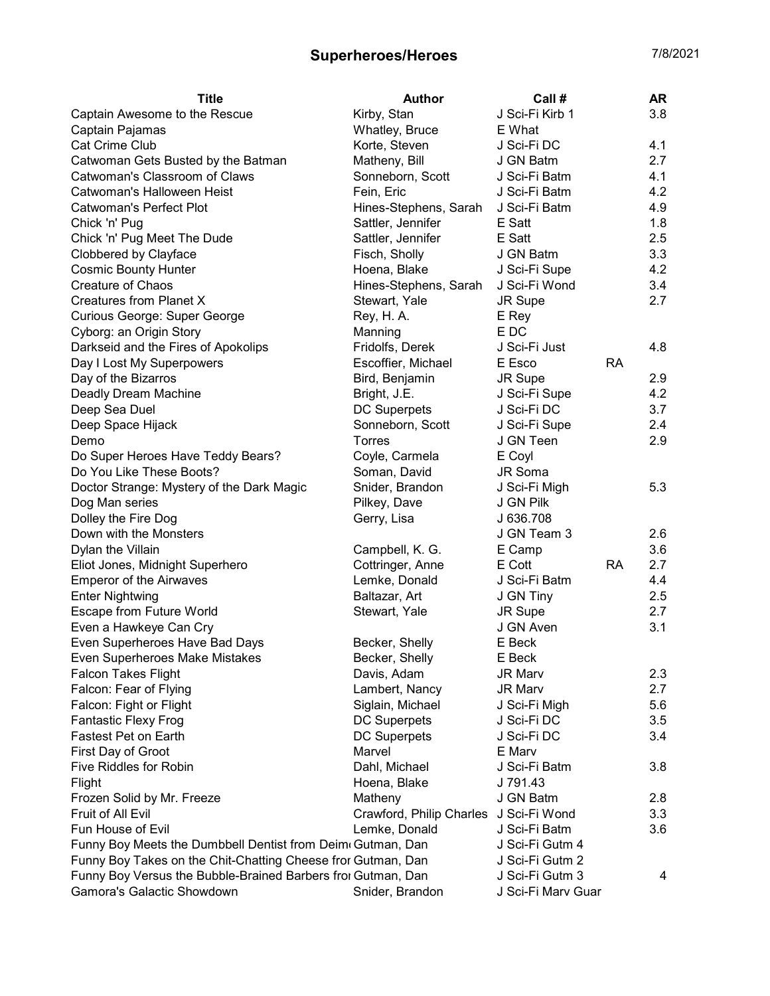| <b>Title</b>                                                 | <b>Author</b>            | Call #             |           | AR  |
|--------------------------------------------------------------|--------------------------|--------------------|-----------|-----|
| Captain Awesome to the Rescue                                | Kirby, Stan              | J Sci-Fi Kirb 1    |           | 3.8 |
| Captain Pajamas                                              | Whatley, Bruce           | E What             |           |     |
| Cat Crime Club                                               | Korte, Steven            | J Sci-Fi DC        |           | 4.1 |
| Catwoman Gets Busted by the Batman                           | Matheny, Bill            | J GN Batm          |           | 2.7 |
| Catwoman's Classroom of Claws                                | Sonneborn, Scott         | J Sci-Fi Batm      |           | 4.1 |
| Catwoman's Halloween Heist                                   | Fein, Eric               | J Sci-Fi Batm      |           | 4.2 |
| <b>Catwoman's Perfect Plot</b>                               | Hines-Stephens, Sarah    | J Sci-Fi Batm      |           | 4.9 |
| Chick 'n' Pug                                                | Sattler, Jennifer        | E Satt             |           | 1.8 |
| Chick 'n' Pug Meet The Dude                                  | Sattler, Jennifer        | E Satt             |           | 2.5 |
| Clobbered by Clayface                                        | Fisch, Sholly            | J GN Batm          |           | 3.3 |
| <b>Cosmic Bounty Hunter</b>                                  | Hoena, Blake             | J Sci-Fi Supe      |           | 4.2 |
| <b>Creature of Chaos</b>                                     | Hines-Stephens, Sarah    | J Sci-Fi Wond      |           | 3.4 |
| Creatures from Planet X                                      | Stewart, Yale            | JR Supe            |           | 2.7 |
| Curious George: Super George                                 | Rey, H. A.               | E Rey              |           |     |
| Cyborg: an Origin Story                                      | Manning                  | E DC               |           |     |
| Darkseid and the Fires of Apokolips                          | Fridolfs, Derek          | J Sci-Fi Just      |           | 4.8 |
| Day I Lost My Superpowers                                    | Escoffier, Michael       | E Esco             | <b>RA</b> |     |
| Day of the Bizarros                                          | Bird, Benjamin           | JR Supe            |           | 2.9 |
| Deadly Dream Machine                                         | Bright, J.E.             | J Sci-Fi Supe      |           | 4.2 |
| Deep Sea Duel                                                | <b>DC Superpets</b>      | J Sci-Fi DC        |           | 3.7 |
|                                                              |                          |                    |           | 2.4 |
| Deep Space Hijack                                            | Sonneborn, Scott         | J Sci-Fi Supe      |           |     |
| Demo                                                         | <b>Torres</b>            | J GN Teen          |           | 2.9 |
| Do Super Heroes Have Teddy Bears?                            | Coyle, Carmela           | E Coyl             |           |     |
| Do You Like These Boots?                                     | Soman, David             | JR Soma            |           |     |
| Doctor Strange: Mystery of the Dark Magic                    | Snider, Brandon          | J Sci-Fi Migh      |           | 5.3 |
| Dog Man series                                               | Pilkey, Dave             | J GN Pilk          |           |     |
| Dolley the Fire Dog                                          | Gerry, Lisa              | J 636.708          |           |     |
| Down with the Monsters                                       |                          | J GN Team 3        |           | 2.6 |
| Dylan the Villain                                            | Campbell, K. G.          | E Camp             |           | 3.6 |
| Eliot Jones, Midnight Superhero                              | Cottringer, Anne         | E Cott             | <b>RA</b> | 2.7 |
| <b>Emperor of the Airwaves</b>                               | Lemke, Donald            | J Sci-Fi Batm      |           | 4.4 |
| <b>Enter Nightwing</b>                                       | Baltazar, Art            | J GN Tiny          |           | 2.5 |
| Escape from Future World                                     | Stewart, Yale            | JR Supe            |           | 2.7 |
| Even a Hawkeye Can Cry                                       |                          | J GN Aven          |           | 3.1 |
| Even Superheroes Have Bad Days                               | Becker, Shelly           | E Beck             |           |     |
| Even Superheroes Make Mistakes                               | Becker, Shelly           | E Beck             |           |     |
| <b>Falcon Takes Flight</b>                                   | Davis, Adam              | <b>JR Marv</b>     |           | 2.3 |
| Falcon: Fear of Flying                                       | Lambert, Nancy           | JR Marv            |           | 2.7 |
| Falcon: Fight or Flight                                      | Siglain, Michael         | J Sci-Fi Migh      |           | 5.6 |
| <b>Fantastic Flexy Frog</b>                                  | <b>DC Superpets</b>      | J Sci-Fi DC        |           | 3.5 |
| <b>Fastest Pet on Earth</b>                                  | <b>DC Superpets</b>      | J Sci-Fi DC        |           | 3.4 |
| First Day of Groot                                           | Marvel                   | E Marv             |           |     |
| <b>Five Riddles for Robin</b>                                | Dahl, Michael            | J Sci-Fi Batm      |           | 3.8 |
| Flight                                                       | Hoena, Blake             | J 791.43           |           |     |
| Frozen Solid by Mr. Freeze                                   | Matheny                  | J GN Batm          |           | 2.8 |
| Fruit of All Evil                                            | Crawford, Philip Charles | J Sci-Fi Wond      |           | 3.3 |
| Fun House of Evil                                            | Lemke, Donald            | J Sci-Fi Batm      |           | 3.6 |
| Funny Boy Meets the Dumbbell Dentist from Deim Gutman, Dan   |                          | J Sci-Fi Gutm 4    |           |     |
| Funny Boy Takes on the Chit-Chatting Cheese fror Gutman, Dan |                          | J Sci-Fi Gutm 2    |           |     |
| Funny Boy Versus the Bubble-Brained Barbers fror Gutman, Dan |                          | J Sci-Fi Gutm 3    |           | 4   |
| Gamora's Galactic Showdown                                   | Snider, Brandon          | J Sci-Fi Marv Guar |           |     |
|                                                              |                          |                    |           |     |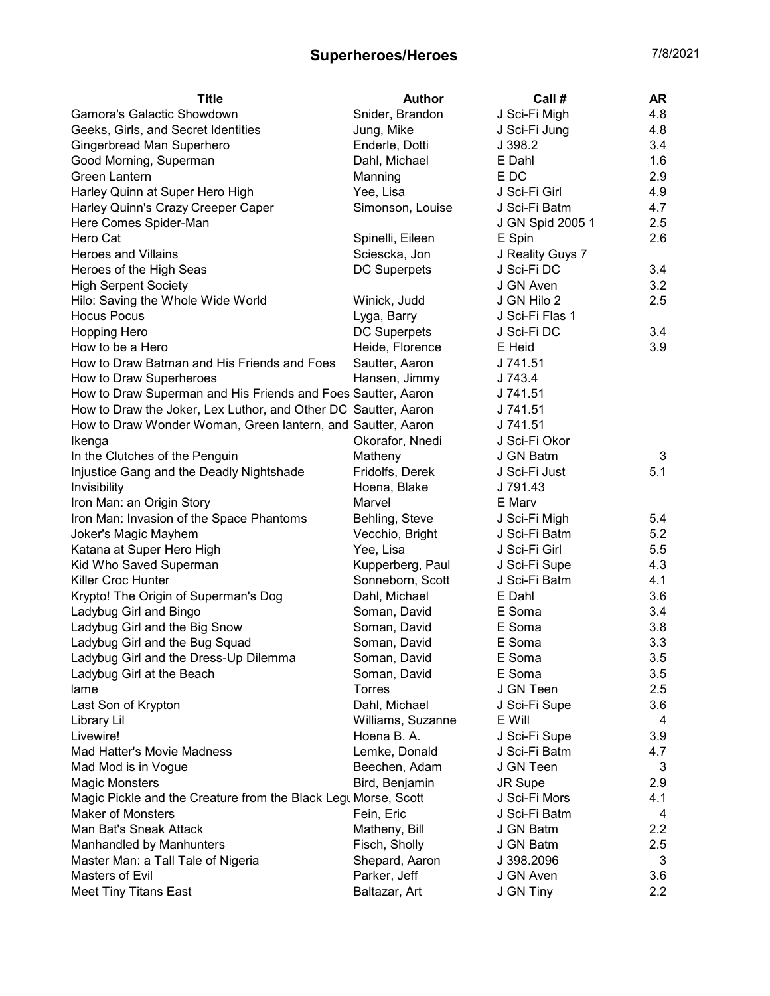| <b>Title</b>                                                   | Author              | Call #           | AR                |
|----------------------------------------------------------------|---------------------|------------------|-------------------|
| Gamora's Galactic Showdown                                     | Snider, Brandon     | J Sci-Fi Migh    | 4.8               |
| Geeks, Girls, and Secret Identities                            | Jung, Mike          | J Sci-Fi Jung    | 4.8               |
| Gingerbread Man Superhero                                      | Enderle, Dotti      | J 398.2          | 3.4               |
| Good Morning, Superman                                         | Dahl, Michael       | E Dahl           | 1.6               |
| Green Lantern                                                  | Manning             | E DC             | 2.9               |
| Harley Quinn at Super Hero High                                | Yee, Lisa           | J Sci-Fi Girl    | 4.9               |
| Harley Quinn's Crazy Creeper Caper                             | Simonson, Louise    | J Sci-Fi Batm    | 4.7               |
| Here Comes Spider-Man                                          |                     | J GN Spid 2005 1 | 2.5               |
| Hero Cat                                                       | Spinelli, Eileen    | E Spin           | 2.6               |
| <b>Heroes and Villains</b>                                     | Sciescka, Jon       | J Reality Guys 7 |                   |
| Heroes of the High Seas                                        | <b>DC Superpets</b> | J Sci-Fi DC      | 3.4               |
| <b>High Serpent Society</b>                                    |                     | J GN Aven        | 3.2               |
| Hilo: Saving the Whole Wide World                              | Winick, Judd        | J GN Hilo 2      | 2.5               |
| <b>Hocus Pocus</b>                                             | Lyga, Barry         | J Sci-Fi Flas 1  |                   |
| <b>Hopping Hero</b>                                            | <b>DC Superpets</b> | J Sci-Fi DC      | 3.4               |
| How to be a Hero                                               | Heide, Florence     | E Heid           | 3.9               |
| How to Draw Batman and His Friends and Foes                    | Sautter, Aaron      | J 741.51         |                   |
| How to Draw Superheroes                                        | Hansen, Jimmy       | J 743.4          |                   |
| How to Draw Superman and His Friends and Foes Sautter, Aaron   |                     | J 741.51         |                   |
| How to Draw the Joker, Lex Luthor, and Other DC Sautter, Aaron |                     | J 741.51         |                   |
| How to Draw Wonder Woman, Green lantern, and Sautter, Aaron    |                     | J 741.51         |                   |
| Ikenga                                                         | Okorafor, Nnedi     | J Sci-Fi Okor    |                   |
| In the Clutches of the Penguin                                 | Matheny             | J GN Batm        | 3                 |
| Injustice Gang and the Deadly Nightshade                       | Fridolfs, Derek     | J Sci-Fi Just    | 5.1               |
| Invisibility                                                   | Hoena, Blake        | J 791.43         |                   |
| Iron Man: an Origin Story                                      | Marvel              | E Marv           |                   |
| Iron Man: Invasion of the Space Phantoms                       | Behling, Steve      | J Sci-Fi Migh    | 5.4               |
| Joker's Magic Mayhem                                           | Vecchio, Bright     | J Sci-Fi Batm    | 5.2               |
| Katana at Super Hero High                                      | Yee, Lisa           | J Sci-Fi Girl    | 5.5               |
| Kid Who Saved Superman                                         | Kupperberg, Paul    | J Sci-Fi Supe    | 4.3               |
| Killer Croc Hunter                                             | Sonneborn, Scott    | J Sci-Fi Batm    | 4.1               |
| Krypto! The Origin of Superman's Dog                           | Dahl, Michael       | E Dahl           | 3.6               |
| Ladybug Girl and Bingo                                         | Soman, David        | E Soma           | 3.4               |
| Ladybug Girl and the Big Snow                                  | Soman, David        | E Soma           | 3.8               |
| Ladybug Girl and the Bug Squad                                 | Soman, David        | E Soma           | 3.3               |
| Ladybug Girl and the Dress-Up Dilemma                          | Soman, David        | E Soma           | 3.5               |
| Ladybug Girl at the Beach                                      | Soman, David        | E Soma           | 3.5               |
| lame                                                           | <b>Torres</b>       | J GN Teen        | 2.5               |
| Last Son of Krypton                                            | Dahl, Michael       | J Sci-Fi Supe    | 3.6               |
| <b>Library Lil</b>                                             | Williams, Suzanne   | E Will           | 4                 |
| Livewire!                                                      | Hoena B.A.          | J Sci-Fi Supe    | 3.9               |
| Mad Hatter's Movie Madness                                     | Lemke, Donald       | J Sci-Fi Batm    | 4.7               |
| Mad Mod is in Vogue                                            | Beechen, Adam       | J GN Teen        | 3                 |
| <b>Magic Monsters</b>                                          | Bird, Benjamin      | JR Supe          | 2.9               |
| Magic Pickle and the Creature from the Black Legt Morse, Scott |                     | J Sci-Fi Mors    | 4.1               |
| <b>Maker of Monsters</b>                                       | Fein, Eric          | J Sci-Fi Batm    | 4                 |
| Man Bat's Sneak Attack                                         | Matheny, Bill       | J GN Batm        | 2.2               |
| Manhandled by Manhunters                                       | Fisch, Sholly       | J GN Batm        | 2.5               |
| Master Man: a Tall Tale of Nigeria                             | Shepard, Aaron      | J 398.2096       | 3                 |
| Masters of Evil                                                | Parker, Jeff        | J GN Aven        | 3.6               |
| <b>Meet Tiny Titans East</b>                                   | Baltazar, Art       | J GN Tiny        | $2.2\overline{ }$ |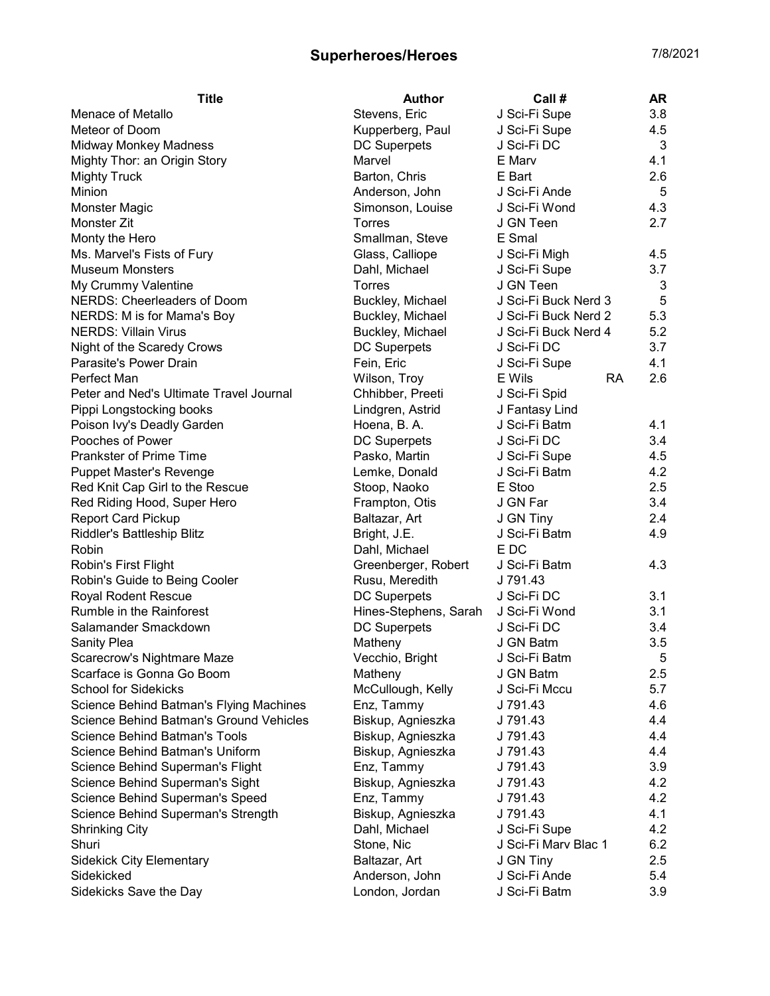| <b>Title</b>                            | <b>Author</b>         | Call #               | <b>AR</b> |
|-----------------------------------------|-----------------------|----------------------|-----------|
| Menace of Metallo                       | Stevens, Eric         | J Sci-Fi Supe        | 3.8       |
| Meteor of Doom                          | Kupperberg, Paul      | J Sci-Fi Supe        | 4.5       |
| <b>Midway Monkey Madness</b>            | <b>DC Superpets</b>   | J Sci-Fi DC          | 3         |
| Mighty Thor: an Origin Story            | Marvel                | E Marv               | 4.1       |
| <b>Mighty Truck</b>                     | Barton, Chris         | E Bart               | 2.6       |
| Minion                                  | Anderson, John        | J Sci-Fi Ande        | 5         |
| Monster Magic                           | Simonson, Louise      | J Sci-Fi Wond        | 4.3       |
| Monster Zit                             | <b>Torres</b>         | J GN Teen            | 2.7       |
| Monty the Hero                          | Smallman, Steve       | E Smal               |           |
| Ms. Marvel's Fists of Fury              | Glass, Calliope       | J Sci-Fi Migh        | 4.5       |
| <b>Museum Monsters</b>                  | Dahl, Michael         | J Sci-Fi Supe        | 3.7       |
| My Crummy Valentine                     | Torres                | J GN Teen            | 3         |
| <b>NERDS: Cheerleaders of Doom</b>      | Buckley, Michael      | J Sci-Fi Buck Nerd 3 | 5         |
| NERDS: M is for Mama's Boy              | Buckley, Michael      | J Sci-Fi Buck Nerd 2 | 5.3       |
| <b>NERDS: Villain Virus</b>             | Buckley, Michael      | J Sci-Fi Buck Nerd 4 | 5.2       |
| Night of the Scaredy Crows              | <b>DC Superpets</b>   | J Sci-Fi DC          | 3.7       |
| Parasite's Power Drain                  | Fein, Eric            | J Sci-Fi Supe        | 4.1       |
| Perfect Man                             | Wilson, Troy          | <b>RA</b><br>E Wils  | 2.6       |
| Peter and Ned's Ultimate Travel Journal | Chhibber, Preeti      | J Sci-Fi Spid        |           |
| Pippi Longstocking books                | Lindgren, Astrid      | J Fantasy Lind       |           |
| Poison Ivy's Deadly Garden              | Hoena, B. A.          | J Sci-Fi Batm        | 4.1       |
| Pooches of Power                        | DC Superpets          | J Sci-Fi DC          | 3.4       |
| <b>Prankster of Prime Time</b>          | Pasko, Martin         | J Sci-Fi Supe        | 4.5       |
| <b>Puppet Master's Revenge</b>          | Lemke, Donald         | J Sci-Fi Batm        | 4.2       |
| Red Knit Cap Girl to the Rescue         | Stoop, Naoko          | E Stoo               | 2.5       |
| Red Riding Hood, Super Hero             | Frampton, Otis        | J GN Far             | 3.4       |
| <b>Report Card Pickup</b>               | Baltazar, Art         | J GN Tiny            | 2.4       |
| Riddler's Battleship Blitz              | Bright, J.E.          | J Sci-Fi Batm        | 4.9       |
| Robin                                   | Dahl, Michael         | E DC                 |           |
| Robin's First Flight                    | Greenberger, Robert   | J Sci-Fi Batm        | 4.3       |
| Robin's Guide to Being Cooler           | Rusu, Meredith        | J 791.43             |           |
| Royal Rodent Rescue                     | <b>DC Superpets</b>   | J Sci-Fi DC          | 3.1       |
| Rumble in the Rainforest                | Hines-Stephens, Sarah | J Sci-Fi Wond        | 3.1       |
| Salamander Smackdown                    | <b>DC Superpets</b>   | J Sci-Fi DC          | 3.4       |
| <b>Sanity Plea</b>                      | Matheny               | J GN Batm            | 3.5       |
| Scarecrow's Nightmare Maze              | Vecchio, Bright       | J Sci-Fi Batm        | 5         |
| Scarface is Gonna Go Boom               | Matheny               | J GN Batm            | 2.5       |
| <b>School for Sidekicks</b>             | McCullough, Kelly     | J Sci-Fi Mccu        | 5.7       |
| Science Behind Batman's Flying Machines | Enz, Tammy            | J 791.43             | 4.6       |
| Science Behind Batman's Ground Vehicles | Biskup, Agnieszka     | J 791.43             | 4.4       |
| <b>Science Behind Batman's Tools</b>    | Biskup, Agnieszka     | J 791.43             | 4.4       |
| Science Behind Batman's Uniform         | Biskup, Agnieszka     | J 791.43             | 4.4       |
| Science Behind Superman's Flight        | Enz, Tammy            | J 791.43             | 3.9       |
| Science Behind Superman's Sight         | Biskup, Agnieszka     | J 791.43             | 4.2       |
| Science Behind Superman's Speed         | Enz, Tammy            | J 791.43             | 4.2       |
| Science Behind Superman's Strength      | Biskup, Agnieszka     | J 791.43             | 4.1       |
| <b>Shrinking City</b>                   | Dahl, Michael         | J Sci-Fi Supe        | 4.2       |
| Shuri                                   | Stone, Nic            | J Sci-Fi Marv Blac 1 | 6.2       |
| <b>Sidekick City Elementary</b>         | Baltazar, Art         | J GN Tiny            | 2.5       |
| Sidekicked                              | Anderson, John        | J Sci-Fi Ande        | 5.4       |
| Sidekicks Save the Day                  | London, Jordan        | J Sci-Fi Batm        | 3.9       |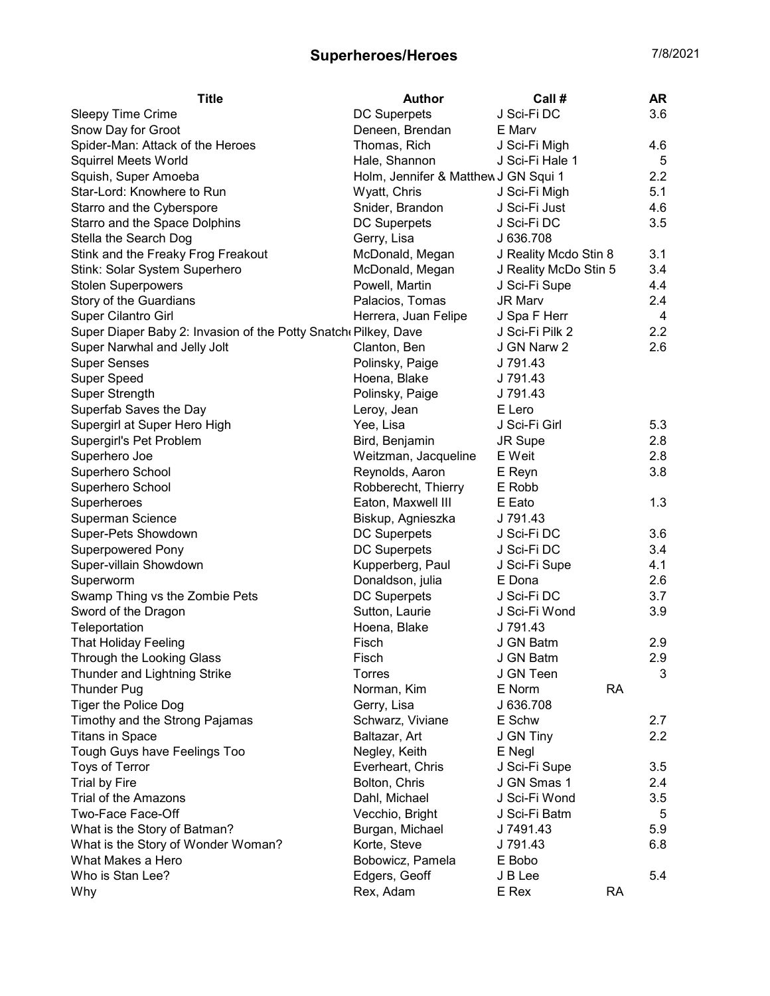| <b>Title</b><br><b>Author</b><br>Call #                                            | <b>AR</b> |
|------------------------------------------------------------------------------------|-----------|
| J Sci-Fi DC<br><b>DC Superpets</b><br>Sleepy Time Crime                            | 3.6       |
| Deneen, Brendan<br>Snow Day for Groot<br>E Marv                                    |           |
| Spider-Man: Attack of the Heroes<br>Thomas, Rich<br>J Sci-Fi Migh                  | 4.6       |
| <b>Squirrel Meets World</b><br>Hale, Shannon<br>J Sci-Fi Hale 1                    | 5         |
| Squish, Super Amoeba<br>Holm, Jennifer & Matthew J GN Squi 1                       | 2.2       |
| Star-Lord: Knowhere to Run<br>Wyatt, Chris<br>J Sci-Fi Migh                        | 5.1       |
| Starro and the Cyberspore<br>Snider, Brandon<br>J Sci-Fi Just                      | 4.6       |
| Starro and the Space Dolphins<br>J Sci-Fi DC<br><b>DC Superpets</b>                | 3.5       |
| Stella the Search Dog<br>J 636.708<br>Gerry, Lisa                                  |           |
| Stink and the Freaky Frog Freakout<br>McDonald, Megan<br>J Reality Mcdo Stin 8     | 3.1       |
| Stink: Solar System Superhero<br>McDonald, Megan<br>J Reality McDo Stin 5          | 3.4       |
| <b>Stolen Superpowers</b><br>Powell, Martin<br>J Sci-Fi Supe                       | 4.4       |
| Story of the Guardians<br>JR Marv<br>Palacios, Tomas                               | 2.4       |
| <b>Super Cilantro Girl</b><br>Herrera, Juan Felipe<br>J Spa F Herr                 | 4         |
| Super Diaper Baby 2: Invasion of the Potty Snatch (Pilkey, Dave<br>J Sci-Fi Pilk 2 | 2.2       |
| Super Narwhal and Jelly Jolt<br>J GN Narw 2<br>Clanton, Ben                        | 2.6       |
| <b>Super Senses</b><br>J 791.43<br>Polinsky, Paige                                 |           |
| <b>Super Speed</b><br>Hoena, Blake<br>J 791.43                                     |           |
| Super Strength<br>Polinsky, Paige<br>J 791.43                                      |           |
| Superfab Saves the Day<br>Leroy, Jean<br>E Lero                                    |           |
| Supergirl at Super Hero High<br>J Sci-Fi Girl<br>Yee, Lisa                         | 5.3       |
| Supergirl's Pet Problem<br>Bird, Benjamin<br>JR Supe                               | 2.8       |
| Weitzman, Jacqueline<br>E Weit<br>Superhero Joe                                    | 2.8       |
| Superhero School<br>Reynolds, Aaron<br>E Reyn                                      | 3.8       |
| Superhero School<br>Robberecht, Thierry<br>E Robb                                  |           |
| Eaton, Maxwell III<br>Superheroes<br>E Eato                                        | 1.3       |
| Superman Science<br>Biskup, Agnieszka<br>J 791.43                                  |           |
| Super-Pets Showdown<br><b>DC Superpets</b><br>J Sci-Fi DC                          | 3.6       |
| <b>Superpowered Pony</b><br><b>DC Superpets</b><br>J Sci-Fi DC                     | 3.4       |
| Super-villain Showdown<br>Kupperberg, Paul<br>J Sci-Fi Supe                        | 4.1       |
| Donaldson, julia<br>E Dona<br>Superworm                                            | 2.6       |
| Swamp Thing vs the Zombie Pets<br><b>DC Superpets</b><br>J Sci-Fi DC               | 3.7       |
| Sutton, Laurie<br>J Sci-Fi Wond<br>Sword of the Dragon                             | 3.9       |
| Teleportation<br>J 791.43<br>Hoena, Blake                                          |           |
| <b>That Holiday Feeling</b><br>J GN Batm<br>Fisch                                  | 2.9       |
| Through the Looking Glass<br>Fisch<br>J GN Batm                                    | 2.9       |
| J GN Teen<br>Thunder and Lightning Strike<br>Torres                                | 3         |
| <b>RA</b><br>E Norm<br><b>Thunder Pug</b><br>Norman, Kim                           |           |
| <b>Tiger the Police Dog</b><br>J 636.708<br>Gerry, Lisa                            |           |
| Timothy and the Strong Pajamas<br>Schwarz, Viviane<br>E Schw                       | 2.7       |
| <b>Titans in Space</b><br>Baltazar, Art<br>J GN Tiny                               | 2.2       |
| Tough Guys have Feelings Too<br>Negley, Keith<br>E Negl                            |           |
| Toys of Terror<br>Everheart, Chris<br>J Sci-Fi Supe                                | 3.5       |
| <b>Trial by Fire</b><br>Bolton, Chris<br>J GN Smas 1                               | 2.4       |
| Trial of the Amazons<br>Dahl, Michael<br>J Sci-Fi Wond                             | 3.5       |
| Two-Face Face-Off<br>Vecchio, Bright<br>J Sci-Fi Batm                              | 5         |
| What is the Story of Batman?<br>Burgan, Michael<br>J 7491.43                       | 5.9       |
| What is the Story of Wonder Woman?<br>Korte, Steve<br>J 791.43                     | 6.8       |
| What Makes a Hero<br>Bobowicz, Pamela<br>E Bobo                                    |           |
| Who is Stan Lee?<br>Edgers, Geoff<br>J B Lee                                       | 5.4       |
| Rex, Adam<br><b>RA</b><br>Why<br>E Rex                                             |           |